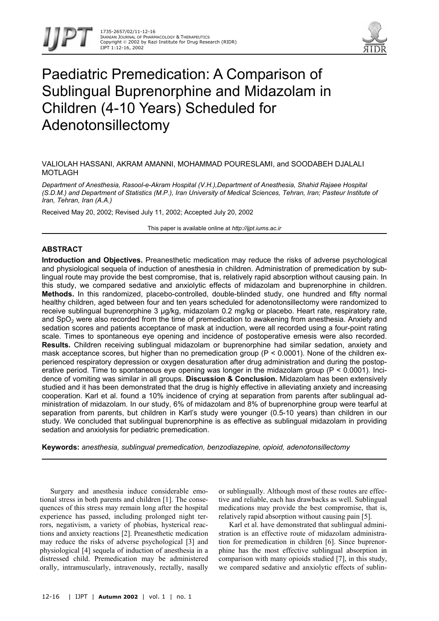

# Paediatric Premedication: A Comparison of Sublingual Buprenorphine and Midazolam in Children (4-10 Years) Scheduled for Adenotonsillectomy

VALIOLAH HASSANI, AKRAM AMANNI, MOHAMMAD POURESLAMI, and SOODABEH DJALALI MOTLAGH

*Department of Anesthesia, Rasool-e-Akram Hospital (V.H.),Department of Anesthesia, Shahid Rajaee Hospital (S.D.M.) and Department of Statistics (M.P.), Iran University of Medical Sciences, Tehran, Iran; Pasteur Institute of Iran, Tehran, Iran (A.A.)* 

Received May 20, 2002; Revised July 11, 2002; Accepted July 20, 2002

This paper is available online at *http://ijpt.iums.ac.ir*

## **ABSTRACT**

**Introduction and Objectives.** Preanesthetic medication may reduce the risks of adverse psychological and physiological sequela of induction of anesthesia in children. Administration of premedication by sublingual route may provide the best compromise, that is, relatively rapid absorption without causing pain. In this study, we compared sedative and anxiolytic effects of midazolam and buprenorphine in children. **Methods.** In this randomized, placebo-controlled, double-blinded study, one hundred and fifty normal healthy children, aged between four and ten years scheduled for adenotonsillectomy were randomized to receive sublingual buprenorphine 3 µg/kg, midazolam 0.2 mg/kg or placebo. Heart rate, respiratory rate, and  $SpO<sub>2</sub>$  were also recorded from the time of premedication to awakening from anesthesia. Anxiety and sedation scores and patients acceptance of mask at induction, were all recorded using a four-point rating scale. Times to spontaneous eye opening and incidence of postoperative emesis were also recorded. **Results.** Children receiving sublingual midazolam or buprenorphine had similar sedation, anxiety and mask acceptance scores, but higher than no premedication group (P < 0.0001). None of the children experienced respiratory depression or oxygen desaturation after drug administration and during the postoperative period. Time to spontaneous eve opening was longer in the midazolam group ( $P < 0.0001$ ). Incidence of vomiting was similar in all groups. **Discussion & Conclusion.** Midazolam has been extensively studied and it has been demonstrated that the drug is highly effective in alleviating anxiety and increasing cooperation. Karl et al. found a 10% incidence of crying at separation from parents after sublingual administration of midazolam. In our study, 6% of midazolam and 8% of buprenorphine group were tearful at separation from parents, but children in Karl's study were younger (0.5-10 years) than children in our study. We concluded that sublingual buprenorphine is as effective as sublingual midazolam in providing sedation and anxiolysis for pediatric premedication.

**Keywords:** *anesthesia, sublingual premedication, benzodiazepine, opioid, adenotonsillectomy*

Surgery and anesthesia induce considerable emotional stress in both parents and children [1]. The consequences of this stress may remain long after the hospital experience has passed, including prolonged night terrors, negativism, a variety of phobias, hysterical reactions and anxiety reactions [2]. Preanesthetic medication may reduce the risks of adverse psychological [3] and physiological [4] sequela of induction of anesthesia in a distressed child. Premedication may be administered orally, intramuscularly, intravenously, rectally, nasally or sublingually. Although most of these routes are effective and reliable, each has drawbacks as well. Sublingual medications may provide the best compromise, that is, relatively rapid absorption without causing pain [5].

Karl et al. have demonstrated that sublingual administration is an effective route of midazolam administration for premedication in children [6]. Since buprenorphine has the most effective sublingual absorption in comparison with many opioids studied [7], in this study, we compared sedative and anxiolytic effects of sublin-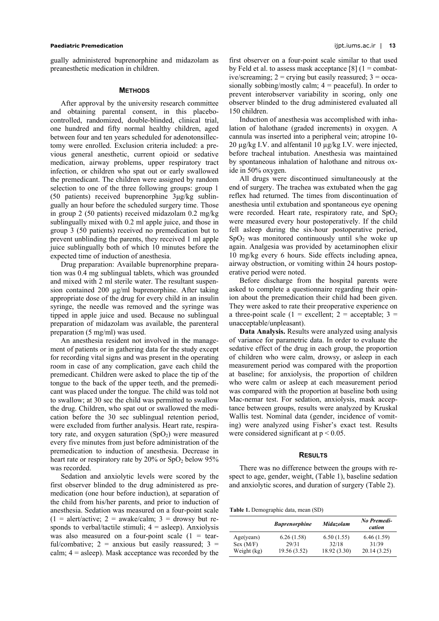### **Paediatric Premedication** ijpt.iums.ac.ir | **13**

gually administered buprenorphine and midazolam as preanesthetic medication in children.

#### **METHODS**

After approval by the university research committee and obtaining parental consent, in this placebocontrolled, randomized, double-blinded, clinical trial, one hundred and fifty normal healthy children, aged between four and ten years scheduled for adenotonsillectomy were enrolled. Exclusion criteria included: a previous general anesthetic, current opioid or sedative medication, airway problems, upper respiratory tract infection, or children who spat out or early swallowed the premedicant. The children were assigned by random selection to one of the three following groups: group 1 (50 patients) received buprenorphine 3µg/kg sublingually an hour before the scheduled surgery time. Those in group 2 (50 patients) received midazolam 0.2 mg/kg sublingually mixed with 0.2 ml apple juice, and those in group 3 (50 patients) received no premedication but to prevent unblinding the parents, they received 1 ml apple juice sublingually both of which 10 minutes before the expected time of induction of anesthesia.

Drug preparation: Available buprenorphine preparation was 0.4 mg sublingual tablets, which was grounded and mixed with 2 ml sterile water. The resultant suspension contained 200 µg/ml buprenorphine. After taking appropriate dose of the drug for every child in an insulin syringe, the needle was removed and the syringe was tipped in apple juice and used. Because no sublingual preparation of midazolam was available, the parenteral preparation (5 mg/ml) was used.

An anesthesia resident not involved in the management of patients or in gathering data for the study except for recording vital signs and was present in the operating room in case of any complication, gave each child the premedicant. Children were asked to place the tip of the tongue to the back of the upper teeth, and the premedicant was placed under the tongue. The child was told not to swallow; at 30 sec the child was permitted to swallow the drug. Children, who spat out or swallowed the medication before the 30 sec sublingual retention period, were excluded from further analysis. Heart rate, respiratory rate, and oxygen saturation  $(SpO<sub>2</sub>)$  were measured every five minutes from just before administration of the premedication to induction of anesthesia. Decrease in heart rate or respiratory rate by  $20\%$  or SpO<sub>2</sub> below 95% was recorded.

Sedation and anxiolytic levels were scored by the first observer blinded to the drug administered as premedication (one hour before induction), at separation of the child from his/her parents, and prior to induction of anesthesia. Sedation was measured on a four-point scale  $(1 = \text{alert}/\text{active}; 2 = \text{awake}/\text{calm}; 3 = \text{drowsy}$  but responds to verbal/tactile stimuli;  $4 =$  asleep). Anxiolysis was also measured on a four-point scale  $(1 = \text{tear-}$ ful/combative;  $2 =$  anxious but easily reassured;  $3 =$ calm;  $4 =$  asleep). Mask acceptance was recorded by the

first observer on a four-point scale similar to that used by Feld et al. to assess mask acceptance [8]  $(1 =$  combative/screaming;  $2 =$  crying but easily reassured;  $3 =$  occasionally sobbing/mostly calm;  $4 =$  peaceful). In order to prevent interobserver variability in scoring, only one observer blinded to the drug administered evaluated all 150 children.

Induction of anesthesia was accomplished with inhalation of halothane (graded increments) in oxygen. A cannula was inserted into a peripheral vein; atropine 10- 20 µg/kg I.V. and alfentanil 10 µg/kg I.V. were injected, before tracheal intubation. Anesthesia was maintained by spontaneous inhalation of halothane and nitrous oxide in 50% oxygen.

All drugs were discontinued simultaneously at the end of surgery. The trachea was extubated when the gag reflex had returned. The times from discontinuation of anesthesia until extubation and spontaneous eye opening were recorded. Heart rate, respiratory rate, and  $SpO<sub>2</sub>$ were measured every hour postoperatively. If the child fell asleep during the six-hour postoperative period,  $SpO<sub>2</sub>$  was monitored continuously until s/he woke up again. Analgesia was provided by acetaminophen elixir 10 mg/kg every 6 hours. Side effects including apnea, airway obstruction, or vomiting within 24 hours postoperative period were noted.

Before discharge from the hospital parents were asked to complete a questionnaire regarding their opinion about the premedication their child had been given. They were asked to rate their preoperative experience on a three-point scale (1 = excellent; 2 = acceptable; 3 = unacceptable/unpleasant).

**Data Analysis.** Results were analyzed using analysis of variance for parametric data. In order to evaluate the sedative effect of the drug in each group, the proportion of children who were calm, drowsy, or asleep in each measurement period was compared with the proportion at baseline; for anxiolysis, the proportion of children who were calm or asleep at each measurement period was compared with the proportion at baseline both using Mac-nemar test. For sedation, anxiolysis, mask acceptance between groups, results were analyzed by Kruskal Wallis test. Nominal data (gender, incidence of vomiting) were analyzed using Fisher's exact test. Results were considered significant at  $p < 0.05$ .

### **RESULTS**

There was no difference between the groups with respect to age, gender, weight, [\(Table 1\)](#page-1-0), baseline sedation and anxiolytic scores, and duration of surgery [\(Table 2\)](#page-2-0).

<span id="page-1-0"></span>**Table 1.** Demographic data, mean (SD)

|             | <b>Buprenorphine</b> | <b>Midazolam</b> | No Premedi-<br>cation |
|-------------|----------------------|------------------|-----------------------|
| Age(years)  | 6.26(1.58)           | 6.50(1.55)       | 6.46(1.59)            |
| Sex (M/F)   | 29/31                | 32/18            | 31/39                 |
| Weight (kg) | 19.56 (3.52)         | 18.92(3.30)      | 20.14(3.25)           |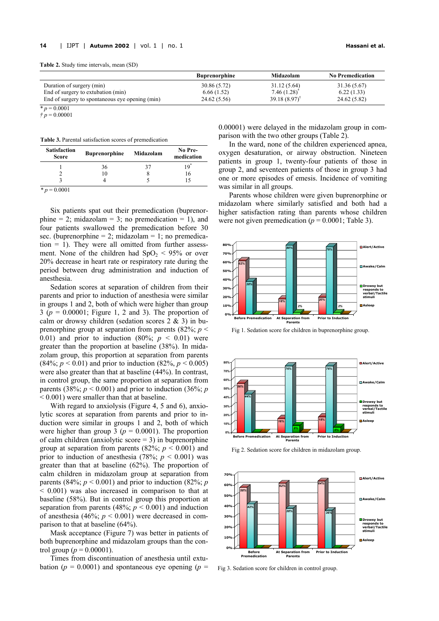### **14** | IJPT | **Autumn 2002** | vol. 1 | no. 1**Hassani et al.**

<span id="page-2-0"></span>**Table 2.** Study time intervals, mean (SD)

|                                                 | <b>Buprenorphine</b> | Midazolam                 | <b>No Premedication</b> |
|-------------------------------------------------|----------------------|---------------------------|-------------------------|
| Duration of surgery (min)                       | 30.86(5.72)          | 31.12(5.64)               | 31.36 (5.67)            |
| End of surgery to extubation (min)              | 6.66(1.52)           | $7.46(1.28)$ <sup>*</sup> | 6.22(1.33)              |
| End of surgery to spontaneous eye opening (min) | 24.62 (5.56)         | 39.18 $(8.97)^{T}$        | 24.62 (5.82)            |

 $p = 0.0001$ 

 $\dot{\tau} p = 0.00001$ 

<span id="page-2-1"></span>**Table 3.** Parental satisfaction scores of premedication

| <b>Satisfaction</b><br><b>Score</b> | <b>Buprenorphine</b> | Midazolam | No Pre-<br>medication |
|-------------------------------------|----------------------|-----------|-----------------------|
|                                     | 36                   |           | $19*$                 |
|                                     | 10                   |           |                       |
|                                     |                      |           |                       |
| 0.0001<br>÷                         |                      |           |                       |

 $$ 

Six patients spat out their premedication (buprenorphine = 2; midazolam = 3; no premedication = 1), and four patients swallowed the premedication before 30 sec. (buprenorphine  $= 2$ ; midazolam  $= 1$ ; no premedication  $= 1$ ). They were all omitted from further assessment. None of the children had  $SpO<sub>2</sub> < 95%$  or over 20% decrease in heart rate or respiratory rate during the period between drug administration and induction of anesthesia.

Sedation scores at separation of children from their parents and prior to induction of anesthesia were similar in groups 1 and 2, both of which were higher than group  $3 (p = 0.00001$ ; Figure 1, 2 and 3). The proportion of calm or drowsy children (sedation scores  $2 \& 3$ ) in buprenorphine group at separation from parents  $(82\%; p \leq$ 0.01) and prior to induction  $(80\%; p < 0.01)$  were greater than the proportion at baseline (38%). In midazolam group, this proportion at separation from parents  $(84\%; p < 0.01)$  and prior to induction  $(82\%; p < 0.005)$ were also greater than that at baseline (44%). In contrast, in control group, the same proportion at separation from parents (38%;  $p < 0.001$ ) and prior to induction (36%; *p* < 0.001) were smaller than that at baseline.

With regard to anxiolysis (Figure 4, 5 and 6), anxiolytic scores at separation from parents and prior to induction were similar in groups 1 and 2, both of which were higher than group 3 ( $p = 0.0001$ ). The proportion of calm children (anxiolytic score = 3) in buprenorphine group at separation from parents  $(82\%; p \leq 0.001)$  and prior to induction of anesthesia (78%;  $p < 0.001$ ) was greater than that at baseline (62%). The proportion of calm children in midazolam group at separation from parents (84%;  $p \le 0.001$ ) and prior to induction (82%; *p*) < 0.001) was also increased in comparison to that at baseline (58%). But in control group this proportion at separation from parents  $(48\%; p \le 0.001)$  and induction of anesthesia (46%;  $p < 0.001$ ) were decreased in comparison to that at baseline (64%).

Mask acceptance (Figure 7) was better in patients of both buprenorphine and midazolam groups than the control group ( $p = 0.00001$ ).

Times from discontinuation of anesthesia until extubation ( $p = 0.0001$ ) and spontaneous eye opening ( $p =$  0.00001) were delayed in the midazolam group in comparison with the two other groups ([Table](#page-2-0) 2).

In the ward, none of the children experienced apnea, oxygen desaturation, or airway obstruction. Nineteen patients in group 1, twenty-four patients of those in group 2, and seventeen patients of those in group 3 had one or more episodes of emesis. Incidence of vomiting was similar in all groups.

Parents whose children were given buprenorphine or midazolam where similarly satisfied and both had a higher satisfaction rating than parents whose children were not given premedication ( $p = 0.0001$ ; [Table 3\)](#page-2-1).



Fig 1. Sedation score for children in buprenorphine group.



Fig 2. Sedation score for children in midazolam group.



Fig 3. Sedation score for children in control group.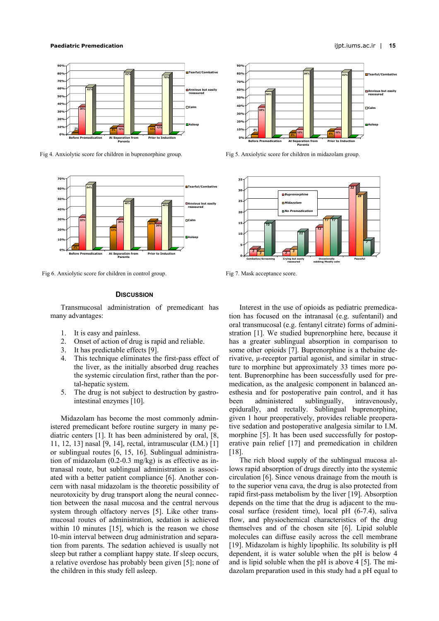#### **Paediatric Premedication** ijpt.iums.ac.ir | **15**



Fig 4. Anxiolytic score for children in buprenorphine group. Fig 5. Anxiolytic score for children in midazolam group.



Fig 6. Anxiolytic score for children in control group. Fig 7. Mask acceptance score.

## **DISCUSSION**

Transmucosal administration of premedicant has many advantages:

- 1. It is easy and painless.
- 2. Onset of action of drug is rapid and reliable.
- 3. It has predictable effects [9].
- 4. This technique eliminates the first-pass effect of the liver, as the initially absorbed drug reaches the systemic circulation first, rather than the portal-hepatic system.
- 5. The drug is not subject to destruction by gastrointestinal enzymes [10].

Midazolam has become the most commonly administered premedicant before routine surgery in many pediatric centers [1]. It has been administered by oral, [8, 11, 12, 13] nasal [9, 14], rectal, intramuscular (I.M.) [1] or sublingual routes [6, 15, 16]. Sublingual administration of midazolam (0.2-0.3 mg/kg) is as effective as intranasal route, but sublingual administration is associated with a better patient compliance [6]. Another concern with nasal midazolam is the theoretic possibility of neurotoxicity by drug transport along the neural connection between the nasal mucosa and the central nervous system through olfactory nerves [5]. Like other transmucosal routes of administration, sedation is achieved within 10 minutes [15], which is the reason we chose 10-min interval between drug administration and separation from parents. The sedation achieved is usually not sleep but rather a compliant happy state. If sleep occurs, a relative overdose has probably been given [5]; none of the children in this study fell asleep.





Interest in the use of opioids as pediatric premedication has focused on the intranasal (e.g. sufentanil) and oral transmucosal (e.g. fentanyl citrate) forms of administration [1]. We studied buprenorphine here, because it has a greater sublingual absorption in comparison to some other opioids [7]. Buprenorphine is a thebaine derivative, µ-receptor partial agonist, and similar in structure to morphine but approximately 33 times more potent. Buprenorphine has been successfully used for premedication, as the analgesic component in balanced anesthesia and for postoperative pain control, and it has been administered sublingually, intravenously, epidurally, and rectally. Sublingual buprenorphine, given 1 hour preoperatively, provides reliable preoperative sedation and postoperative analgesia similar to I.M. morphine [5]. It has been used successfully for postoperative pain relief [17] and premedication in children [18].

The rich blood supply of the sublingual mucosa allows rapid absorption of drugs directly into the systemic circulation [6]. Since venous drainage from the mouth is to the superior vena cava, the drug is also protected from rapid first-pass metabolism by the liver [19]. Absorption depends on the time that the drug is adjacent to the mucosal surface (resident time), local pH (6-7.4), saliva flow, and physiochemical characteristics of the drug themselves and of the chosen site [6]. Lipid soluble molecules can diffuse easily across the cell membrane [19]. Midazolam is highly lipophilic. Its solubility is pH dependent, it is water soluble when the pH is below 4 and is lipid soluble when the pH is above 4 [5]. The midazolam preparation used in this study had a pH equal to